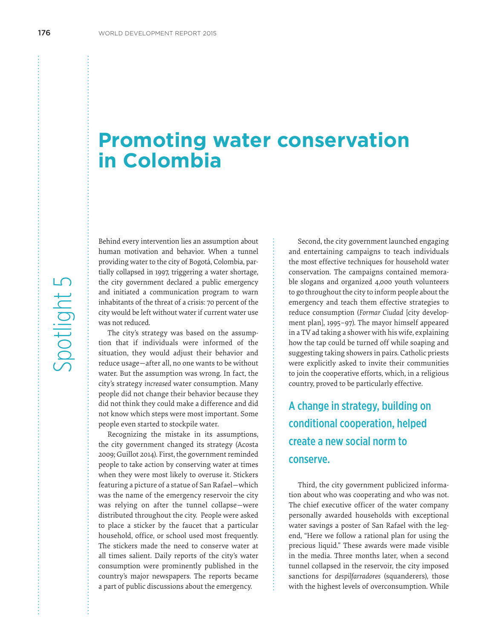# **Promoting water conservation in Colombia**

Behind every intervention lies an assumption about human motivation and behavior. When a tunnel providing water to the city of Bogotá, Colombia, partially collapsed in 1997, triggering a water shortage, the city government declared a public emergency and initiated a communication program to warn inhabitants of the threat of a crisis: 70 percent of the city would be left without water if current water use was not reduced.

The city's strategy was based on the assumption that if individuals were informed of the situation, they would adjust their behavior and reduce usage—after all, no one wants to be without water. But the assumption was wrong. In fact, the city's strategy *increased* water consumption. Many people did not change their behavior because they did not think they could make a difference and did not know which steps were most important. Some people even started to stockpile water.

Recognizing the mistake in its assumptions, the city government changed its strategy (Acosta 2009; Guillot 2014). First, the government reminded people to take action by conserving water at times when they were most likely to overuse it. Stickers featuring a picture of a statue of San Rafael—which was the name of the emergency reservoir the city was relying on after the tunnel collapse—were distributed throughout the city. People were asked to place a sticker by the faucet that a particular household, office, or school used most frequently. The stickers made the need to conserve water at all times salient. Daily reports of the city's water consumption were prominently published in the country's major newspapers. The reports became a part of public discussions about the emergency.

Second, the city government launched engaging and entertaining campaigns to teach individuals the most effective techniques for household water conservation. The campaigns contained memorable slogans and organized 4,000 youth volunteers to go throughout the city to inform people about the emergency and teach them effective strategies to reduce consumption (*Formar Ciudad* [city development plan], 1995–97). The mayor himself appeared in a TV ad taking a shower with his wife, explaining how the tap could be turned off while soaping and suggesting taking showers in pairs. Catholic priests were explicitly asked to invite their communities to join the cooperative efforts, which, in a religious country, proved to be particularly effective.

## A change in strategy, building on conditional cooperation, helped create a new social norm to conserve.

Third, the city government publicized information about who was cooperating and who was not. The chief executive officer of the water company personally awarded households with exceptional water savings a poster of San Rafael with the legend, "Here we follow a rational plan for using the precious liquid." These awards were made visible in the media. Three months later, when a second tunnel collapsed in the reservoir, the city imposed sanctions for *despilfarradores* (squanderers), those with the highest levels of overconsumption. While